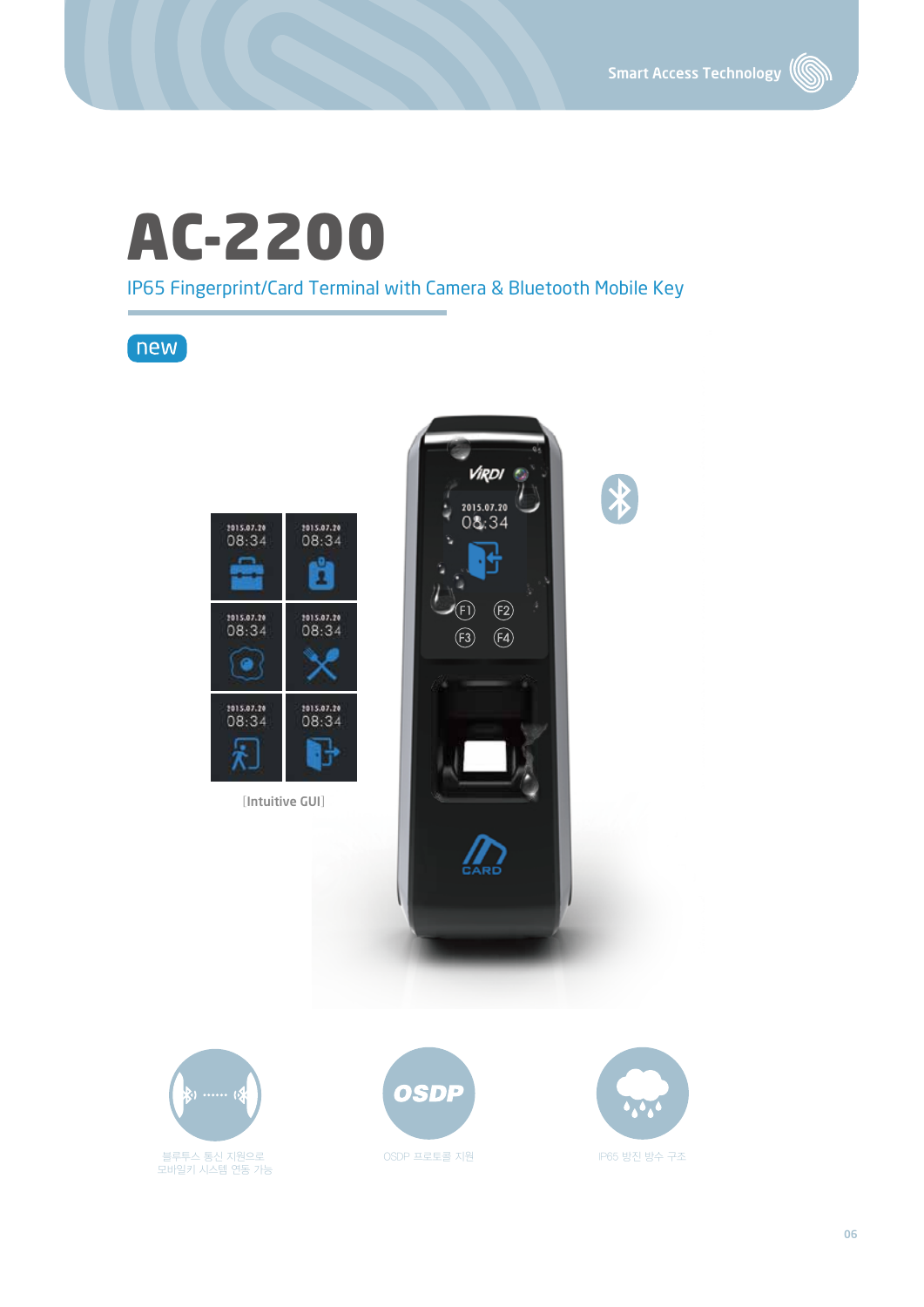(S

# AC-2200

IP65 Fingerprint/Card Terminal with Camera & Bluetooth Mobile Key

 $new$ 





모바일키 시스템 연동 가능